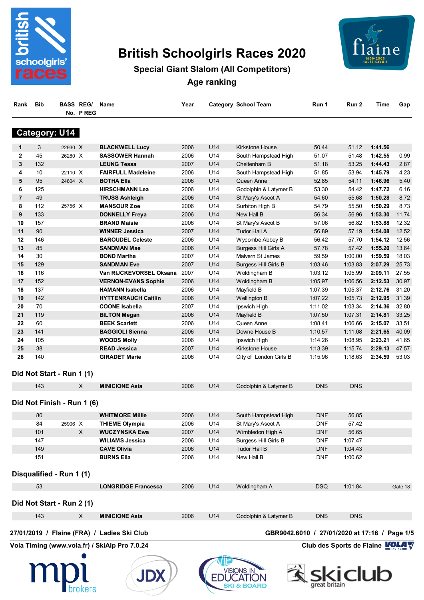

# **British Schoolgirls Races 2020**



## **Special Giant Slalom (All Competitors) Age ranking**

| Rank Bib | <b>BASS REG/ Name</b> | Year | <b>Category School Team</b> | Run 1 | Run 2 | Time Gap |  |
|----------|-----------------------|------|-----------------------------|-------|-------|----------|--|
|          | No. PREG              |      |                             |       |       |          |  |

#### **Category: U14**

| 1              | 3   | 22930 X                    | <b>BLACKWELL Lucy</b>      | 2006 | U14 | <b>Kirkstone House</b>      | 50.44      | 51.12      | 1:41.56 |         |
|----------------|-----|----------------------------|----------------------------|------|-----|-----------------------------|------------|------------|---------|---------|
| $\mathbf{2}$   | 45  | 26280 X                    | <b>SASSOWER Hannah</b>     | 2006 | U14 | South Hampstead High        | 51.07      | 51.48      | 1:42.55 | 0.99    |
| 3              | 132 |                            | <b>LEUNG Tessa</b>         | 2007 | U14 | Cheltenham B                | 51.18      | 53.25      | 1:44.43 | 2.87    |
| 4              | 10  | 22110 X                    | <b>FAIRFULL Madeleine</b>  | 2006 | U14 | South Hampstead High        | 51.85      | 53.94      | 1:45.79 | 4.23    |
| 5              | 95  | 24804 X                    | <b>BOTHA Ella</b>          | 2006 | U14 | Queen Anne                  | 52.85      | 54.11      | 1:46.96 | 5.40    |
| 6              | 125 |                            | <b>HIRSCHMANN Lea</b>      | 2006 | U14 | Godolphin & Latymer B       | 53.30      | 54.42      | 1:47.72 | 6.16    |
| $\overline{7}$ | 49  |                            | <b>TRUSS Ashleigh</b>      | 2006 | U14 | St Mary's Ascot A           | 54.60      | 55.68      | 1:50.28 | 8.72    |
| 8              | 112 | 25756 X                    | <b>MANSOUR Zoe</b>         | 2006 | U14 | Surbiton High B             | 54.79      | 55.50      | 1:50.29 | 8.73    |
| 9              | 133 |                            | <b>DONNELLY Freya</b>      | 2006 | U14 | New Hall B                  | 56.34      | 56.96      | 1:53.30 | 11.74   |
| 10             | 157 |                            | <b>BRAND Maisie</b>        | 2006 | U14 | St Mary's Ascot B           | 57.06      | 56.82      | 1:53.88 | 12.32   |
| 11             | 90  |                            | <b>WINNER Jessica</b>      | 2007 | U14 | Tudor Hall A                | 56.89      | 57.19      | 1:54.08 | 12.52   |
| 12             | 146 |                            | <b>BAROUDEL Celeste</b>    | 2006 | U14 | Wycombe Abbey B             | 56.42      | 57.70      | 1:54.12 | 12.56   |
| 13             | 85  |                            | <b>SANDMAN Mae</b>         | 2006 | U14 | <b>Burgess Hill Girls A</b> | 57.78      | 57.42      | 1:55.20 | 13.64   |
| 14             | 30  |                            | <b>BOND Martha</b>         | 2007 | U14 | Malvern St James            | 59.59      | 1:00.00    | 1:59.59 | 18.03   |
| 15             | 129 |                            | <b>SANDMAN Eve</b>         | 2007 | U14 | <b>Burgess Hill Girls B</b> | 1:03.46    | 1:03.83    | 2:07.29 | 25.73   |
| 16             | 116 |                            | Van RIJCKEVORSEL Oksana    | 2007 | U14 | Woldingham B                | 1:03.12    | 1:05.99    | 2:09.11 | 27.55   |
| 17             | 152 |                            | <b>VERNON-EVANS Sophie</b> | 2006 | U14 | Woldingham B                | 1:05.97    | 1:06.56    | 2:12.53 | 30.97   |
| 18             | 137 |                            | <b>HAMANN Isabella</b>     | 2006 | U14 | Mayfield B                  | 1:07.39    | 1:05.37    | 2:12.76 | 31.20   |
| 19             | 142 |                            | <b>HYTTENRAUCH Caitlin</b> | 2006 | U14 | Wellington B                | 1:07.22    | 1:05.73    | 2:12.95 | 31.39   |
| 20             | 70  |                            | <b>COONE Isabella</b>      | 2007 | U14 | Ipswich High                | 1:11.02    | 1:03.34    | 2:14.36 | 32.80   |
| 21             | 119 |                            | <b>BILTON Megan</b>        | 2006 | U14 | Mayfield B                  | 1:07.50    | 1:07.31    | 2:14.81 | 33.25   |
| 22             | 60  |                            | <b>BEEK Scarlett</b>       | 2006 | U14 | Queen Anne                  | 1:08.41    | 1:06.66    | 2:15.07 | 33.51   |
| 23             | 141 |                            | <b>BAGGIOLI Sienna</b>     | 2006 | U14 | Downe House B               | 1:10.57    | 1:11.08    | 2:21.65 | 40.09   |
| 24             | 105 |                            | <b>WOODS Molly</b>         | 2006 | U14 | Ipswich High                | 1:14.26    | 1:08.95    | 2:23.21 | 41.65   |
| 25             | 38  |                            | <b>READ Jessica</b>        | 2007 | U14 | Kirkstone House             | 1:13.39    | 1:15.74    | 2:29.13 | 47.57   |
| 26             | 140 |                            | <b>GIRADET Marie</b>       | 2006 | U14 | City of London Girls B      | 1:15.96    | 1:18.63    | 2:34.59 | 53.03   |
|                |     | Did Not Start - Run 1 (1)  |                            |      |     |                             |            |            |         |         |
|                | 143 | X                          | <b>MINICIONE Asia</b>      | 2006 | U14 | Godolphin & Latymer B       | <b>DNS</b> | <b>DNS</b> |         |         |
|                |     | Did Not Finish - Run 1 (6) |                            |      |     |                             |            |            |         |         |
|                | 80  |                            | <b>WHITMORE Millie</b>     | 2006 | U14 | South Hampstead High        | <b>DNF</b> | 56.85      |         |         |
|                | 84  | 25906 X                    | <b>THIEME Olympia</b>      | 2006 | U14 | St Mary's Ascot A           | <b>DNF</b> | 57.42      |         |         |
|                | 101 | X                          | <b>WUCZYNSKA Ewa</b>       | 2007 | U14 | Wimbledon High A            | <b>DNF</b> | 56.65      |         |         |
|                | 147 |                            | <b>WILIAMS Jessica</b>     | 2006 | U14 | <b>Burgess Hill Girls B</b> | <b>DNF</b> | 1:07.47    |         |         |
|                | 149 |                            | <b>CAVE Olivia</b>         | 2006 | U14 | Tudor Hall B                | <b>DNF</b> | 1:04.43    |         |         |
|                | 151 |                            | <b>BURNS Ella</b>          | 2006 | U14 | New Hall B                  | <b>DNF</b> | 1:00.62    |         |         |
|                |     | Disqualified - Run 1 (1)   |                            |      |     |                             |            |            |         |         |
|                | 53  |                            | <b>LONGRIDGE Francesca</b> | 2006 | U14 | Woldingham A                | <b>DSQ</b> | 1:01.84    |         | Gate 18 |
|                |     | Did Not Start - Run 2 (1)  |                            |      |     |                             |            |            |         |         |
|                | 143 | X                          | <b>MINICIONE Asia</b>      | 2006 | U14 | Godolphin & Latymer B       | <b>DNS</b> | <b>DNS</b> |         |         |
|                |     |                            |                            |      |     |                             |            |            |         |         |







**27/01/2019 / Flaine (FRA) / Ladies Ski Club GBR9042.6010 / 27/01/2020 at 17:16 / Page 1/5**

**Vola Timing (www.vola.fr) / SkiAlp Pro 7.0.24 Club des Sports de Flaine VOLA V** 

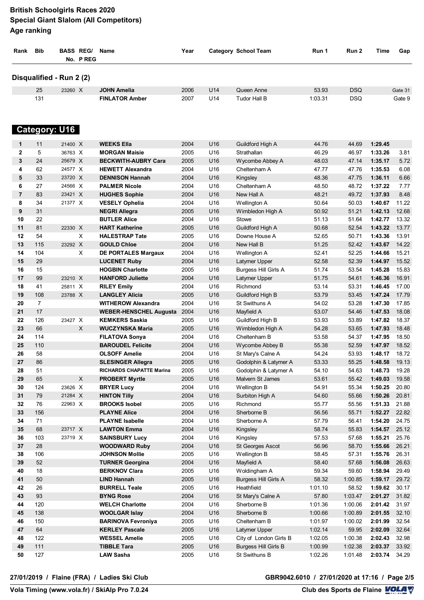| Rank         | <b>Bib</b>               |                    | <b>BASS REG/</b><br>No. PREG | <b>Name</b>                                 | Year         |            | Category School Team                      | Run 1              | Run 2          | Time               | Gap            |
|--------------|--------------------------|--------------------|------------------------------|---------------------------------------------|--------------|------------|-------------------------------------------|--------------------|----------------|--------------------|----------------|
|              | Disqualified - Run 2 (2) |                    |                              |                                             |              |            |                                           |                    |                |                    |                |
|              | 25                       | 23260 X            |                              | <b>JOHN Amelia</b>                          | 2006         | U14        | Queen Anne                                | 53.93              | <b>DSQ</b>     |                    | Gate 31        |
|              | 131                      |                    |                              | <b>FINLATOR Amber</b>                       | 2007         | U14        | Tudor Hall B                              | 1:03.31            | <b>DSQ</b>     |                    | Gate 9         |
|              | <b>Category: U16</b>     |                    |                              |                                             |              |            |                                           |                    |                |                    |                |
| 1            | 11                       | 21400 X            |                              | <b>WEEKS Ella</b>                           | 2004         | U16        | Guildford High A                          | 44.76              | 44.69          | 1:29.45            |                |
| $\mathbf{2}$ | 5                        | 36763 X            |                              | <b>MORGAN Maisie</b>                        | 2005         | U16        | Strathallan                               | 46.29              | 46.97          | 1:33.26            | 3.81           |
| 3            | 24                       | 25679 X            |                              | <b>BECKWITH-AUBRY Cara</b>                  | 2005         | U16        | Wycombe Abbey A                           | 48.03              | 47.14          | 1:35.17            | 5.72           |
| 4            | 62                       | 24577 X            |                              | <b>HEWETT Alexandra</b>                     | 2004         | U16        | Cheltenham A                              | 47.77              | 47.76          | 1:35.53            | 6.08           |
| 5            | 33                       | 23720 X            |                              | <b>DENNISON Hannah</b>                      | 2004         | U16        | Kingsley                                  | 48.36              | 47.75          | 1:36.11            | 6.66           |
| 6            | 27                       | 24566 X            |                              | <b>PALMER Nicole</b>                        | 2004         | U16        | Cheltenham A                              | 48.50              | 48.72          | 1:37.22            | 7.77           |
| 7            | 83                       | 23421 X            |                              | <b>HUGHES Sophie</b>                        | 2004         | U16        | New Hall A                                | 48.21              | 49.72          | 1:37.93            | 8.48           |
| 8            | 34                       | 21377 X            |                              | <b>VESELY Ophelia</b>                       | 2004         | U16        | Wellington A                              | 50.64              | 50.03          | 1:40.67            | 11.22          |
| 9            | 31                       |                    |                              | <b>NEGRI Allegra</b>                        | 2005         | U16        | Wimbledon High A                          | 50.92              | 51.21          | 1:42.13            | 12.68          |
| 10           | 22                       |                    |                              | <b>BUTLER Alice</b>                         | 2004         | U16        | Stowe                                     | 51.13              | 51.64          | 1:42.77            | 13.32          |
| 11           | 81                       | 22330 X            |                              | <b>HART Katherine</b>                       | 2005         | U16        | Guildford High A                          | 50.68              | 52.54          | 1:43.22            | 13.77          |
| 12           | 54                       |                    | X                            | <b>HALESTRAP Tate</b>                       | 2005         | U16        | Downe House A                             | 52.65              | 50.71          | 1:43.36            | 13.91          |
| 13           | 115                      | 23292 X            |                              | <b>GOULD Chloe</b>                          | 2004         | U16        | New Hall B                                | 51.25              | 52.42          | 1:43.67            | 14.22          |
| 14           | 104                      |                    | X                            | DE PORTALES Margaux                         | 2004         | U16        | Wellington A                              | 52.41              | 52.25          | 1:44.66            | 15.21          |
| 15           | 29                       |                    |                              | <b>LUCENET Ruby</b>                         | 2004         | U16        | Latymer Upper                             | 52.58              | 52.39          | 1:44.97            | 15.52          |
| 16           | 15                       |                    |                              | <b>HOGBIN Charlotte</b>                     | 2005         | U16        | <b>Burgess Hill Girls A</b>               | 51.74              | 53.54          | 1:45.28            | 15.83          |
| 17           | 99                       | 23210 X            |                              | <b>HANFORD Juliette</b>                     | 2004         | U16        | Latymer Upper                             | 51.75              | 54.61          | 1:46.36            | 16.91          |
| 18           | 41                       | 25811 X            |                              | <b>RILEY Emily</b>                          | 2004         | U16        | Richmond                                  | 53.14              | 53.31          | 1:46.45            | 17.00          |
| 19           | 108                      | 23788 X            |                              | <b>LANGLEY Alicia</b>                       | 2005         | U16        | Guildford High B                          | 53.79              | 53.45          | 1:47.24            | 17.79          |
| 20           | $\overline{7}$           |                    |                              | <b>WITHEROW Alexandra</b>                   | 2004         | U16        | St Swithuns A                             | 54.02              | 53.28          | 1:47.30            | 17.85          |
| 21           | 17                       |                    |                              | <b>WEBER-HENSCHEL Augusta</b>               | 2004         | U16        | Mayfield A                                | 53.07              | 54.46          | 1:47.53            | 18.08          |
| 22           | 126                      | 23427 X            |                              | <b>KEMKERS Saskia</b>                       | 2005         | U16        | Guildford High B                          | 53.93              | 53.89          | 1:47.82            | 18.37          |
| 23           | 66                       |                    | X                            | <b>WUCZYNSKA Maria</b>                      | 2005         | U16        | Wimbledon High A                          | 54.28              | 53.65          | 1:47.93            | 18.48          |
| 24           | 114                      |                    |                              | <b>FILATOVA Sonya</b>                       | 2004         | U16        | Cheltenham B                              | 53.58              | 54.37          | 1:47.95            | 18.50          |
| 25           | 110                      |                    |                              | <b>BAROUDEL Felicite</b>                    | 2004         | U16        | Wycombe Abbey B                           | 55.38              | 52.59          | 1:47.97            | 18.52          |
| 26           | 58                       |                    |                              | <b>OLSOFF Amelie</b>                        | 2004         | U16        | St Mary's Calne A                         | 54.24              | 53.93          | 1:48.17            | 18.72          |
| 27           | 86                       |                    |                              | <b>SLESINGER Allegra</b>                    | 2005         | U16        | Godolphin & Latymer A                     | 53.33              | 55.25          | 1:48.58            | 19.13          |
| 28           | 51                       |                    |                              | <b>RICHARDS CHAPATTE Marina</b>             | 2005         | U16        | Godolphin & Latymer A                     | 54.10              | 54.63          | 1:48.73            | 19.28          |
| 29           | 65                       |                    | $\boldsymbol{\mathsf{X}}$    | <b>PROBERT Myrtle</b>                       | 2005         | U16        | Malvern St James                          | 53.61              | 55.42          | 1:49.03            | 19.58          |
| 30           | 124                      | 23626 X            |                              | <b>BRYER Lucy</b>                           | 2004         | U16        | Wellington B                              | 54.91              | 55.34          | 1:50.25            | 20.80          |
| 31           | 79                       | 21284 X            |                              | <b>HINTON Tilly</b>                         | 2004         | U16        | Surbiton High A                           | 54.60              | 55.66          | 1:50.26            | 20.81          |
| 32           | 76                       | 22963 X            |                              | <b>BROOKS Isobel</b>                        | 2005         | U16        | Richmond                                  | 55.77              | 55.56          | 1:51.33            | 21.88          |
| 33           | 156                      |                    |                              | <b>PLAYNE Alice</b>                         | 2004         | U16        | Sherborne B                               | 56.56              | 55.71          | 1:52.27            | 22.82          |
| 34           | 71                       |                    |                              | <b>PLAYNE Isabelle</b>                      | 2004         | U16        | Sherborne A                               | 57.79              | 56.41          | 1:54.20            | 24.75          |
| 35<br>36     | 68<br>103                | 23717 X<br>23719 X |                              | <b>LAWTON Emma</b><br><b>SAINSBURY Lucy</b> | 2004<br>2004 | U16<br>U16 | Kingsley                                  | 58.74              | 55.83<br>57.68 | 1:54.57<br>1:55.21 | 25.12<br>25.76 |
| 37           | 28                       |                    |                              | <b>WOODWARD Ruby</b>                        | 2004         | U16        | Kingsley                                  | 57.53              | 58.70          | 1:55.66            | 26.21          |
| 38           | 106                      |                    |                              | <b>JOHNSON Mollie</b>                       | 2005         | U16        | St Georges Ascot<br>Wellington B          | 56.96<br>58.45     | 57.31          | 1:55.76            | 26.31          |
| 39           | 52                       |                    |                              | <b>TURNER Georgina</b>                      | 2004         | U16        | Mayfield A                                | 58.40              | 57.68          | 1:56.08            | 26.63          |
| 40           | 18                       |                    |                              | <b>BERKNOV Clara</b>                        | 2005         | U16        | Woldingham A                              | 59.34              | 59.60          | 1:58.94            | 29.49          |
| 41           | 50                       |                    |                              | <b>LIND Hannah</b>                          | 2005         | U16        |                                           | 58.32              | 1:00.85        | 1:59.17            | 29.72          |
| 42           | 26                       |                    |                              | <b>BURRELL Teale</b>                        | 2005         | U16        | <b>Burgess Hill Girls A</b><br>Heathfield | 1:01.10            | 58.52          | 1:59.62            | 30.17          |
| 43           | 93                       |                    |                              | <b>BYNG Rose</b>                            | 2004         | U16        | St Mary's Calne A                         | 57.80              | 1:03.47        | 2:01.27            | 31.82          |
| 44           | 120                      |                    |                              | <b>WELCH Charlotte</b>                      | 2004         | U16        | Sherborne B                               | 1:01.36            | 1:00.06        | 2:01.42            | 31.97          |
| 45           | 138                      |                    |                              | <b>WOOLGAR Islay</b>                        | 2004         | U16        | Sherborne B                               | 1:00.66            | 1:00.89        | 2:01.55            | 32.10          |
| 46           | 150                      |                    |                              | <b>BARINOVA Fevroniya</b>                   | 2005         | U16        | Cheltenham B                              | 1:01.97            | 1:00.02        | 2:01.99            | 32.54          |
| 47           | 64                       |                    |                              | <b>KERLEY Pascale</b>                       | 2005         | U16        |                                           |                    |                |                    | 32.64          |
| 48           | 122                      |                    |                              | <b>WESSEL Amelie</b>                        | 2005         | U16        | Latymer Upper                             | 1:02.14<br>1:02.05 | 59.95          | 2:02.09            | 32.98          |
| 49           | 111                      |                    |                              | <b>TIBBLE Tara</b>                          | 2005         | U16        | City of London Girls B                    | 1:00.99            | 1:00.38        | 2:02.43            | 33.92          |
|              |                          |                    |                              |                                             |              |            | <b>Burgess Hill Girls B</b>               |                    | 1:02.38        | 2:03.37            |                |
| 50           | 127                      |                    |                              | <b>LAW Sasha</b>                            | 2005         | U16        | St Swithuns B                             | 1:02.26            | 1:01.48        | 2:03.74            | 34.29          |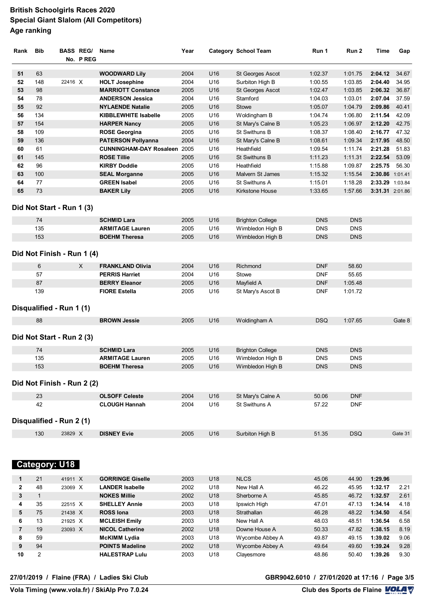| Rank         | <b>Bib</b>                 |         | <b>BASS REG/</b><br>No. PREG | Name                                | Year |                 | <b>Category School Team</b> | Run 1      | Run 2      | Time            | Gap     |
|--------------|----------------------------|---------|------------------------------|-------------------------------------|------|-----------------|-----------------------------|------------|------------|-----------------|---------|
| 51           | 63                         |         |                              | <b>WOODWARD Lily</b>                | 2004 | U16             | St Georges Ascot            | 1:02.37    | 1:01.75    | 2:04.12         | 34.67   |
| 52           | 148                        | 22416 X |                              | <b>HOLT Josephine</b>               | 2004 | U16             | Surbiton High B             | 1:00.55    | 1:03.85    | 2:04.40         | 34.95   |
| 53           | 98                         |         |                              | <b>MARRIOTT Constance</b>           | 2005 | U16             | St Georges Ascot            | 1:02.47    | 1:03.85    | 2:06.32         | 36.87   |
| 54           | 78                         |         |                              | <b>ANDERSON Jessica</b>             | 2004 | U16             | Stamford                    | 1:04.03    | 1:03.01    | 2:07.04         | 37.59   |
| 55           | 92                         |         |                              | <b>NYLAENDE Natalie</b>             | 2005 | U16             | Stowe                       | 1:05.07    | 1:04.79    | 2:09.86         | 40.41   |
| 56           | 134                        |         |                              | <b>KIBBLEWHITE Isabelle</b>         | 2005 | U16             | Woldingham B                | 1:04.74    | 1:06.80    | 2:11.54         | 42.09   |
| 57           | 154                        |         |                              | <b>HARPER Nancy</b>                 | 2005 | U16             | St Mary's Calne B           | 1:05.23    | 1:06.97    | 2:12.20         | 42.75   |
| 58           | 109                        |         |                              | <b>ROSE Georgina</b>                | 2005 | U16             | St Swithuns B               | 1:08.37    | 1:08.40    | 2:16.77         | 47.32   |
| 59           | 136                        |         |                              | <b>PATERSON Pollyanna</b>           | 2004 | U16             | St Mary's Calne B           | 1:08.61    | 1:09.34    | 2:17.95         | 48.50   |
| 60           | 61                         |         |                              | <b>CUNNINGHAM-DAY Rosaleen 2005</b> |      | U16             | Heathfield                  | 1:09.54    | 1:11.74    | 2:21.28         | 51.83   |
| 61           | 145                        |         |                              | <b>ROSE Tillie</b>                  | 2005 | U16             | <b>St Swithuns B</b>        | 1:11.23    | 1:11.31    | 2:22.54         | 53.09   |
| 62           | 96                         |         |                              | <b>KIRBY Doddie</b>                 | 2005 | U16             | Heathfield                  | 1:15.88    | 1:09.87    | 2:25.75         | 56.30   |
| 63           | 100                        |         |                              | <b>SEAL Morganne</b>                | 2005 | U16             | Malvern St James            | 1:15.32    | 1:15.54    | 2:30.86 1:01.41 |         |
| 64           | 77                         |         |                              | <b>GREEN Isabel</b>                 | 2005 | U <sub>16</sub> | St Swithuns A               | 1:15.01    | 1:18.28    | 2:33.29 1:03.84 |         |
| 65           | 73                         |         |                              | <b>BAKER Lily</b>                   | 2005 | U16             | <b>Kirkstone House</b>      | 1:33.65    | 1:57.66    | 3:31.31 2:01.86 |         |
|              |                            |         |                              |                                     |      |                 |                             |            |            |                 |         |
|              | Did Not Start - Run 1 (3)  |         |                              |                                     |      |                 |                             |            |            |                 |         |
|              | 74                         |         |                              | <b>SCHMID Lara</b>                  | 2005 | U16             | <b>Brighton College</b>     | <b>DNS</b> | <b>DNS</b> |                 |         |
|              | 135                        |         |                              | <b>ARMITAGE Lauren</b>              | 2005 | U16             | Wimbledon High B            | <b>DNS</b> | <b>DNS</b> |                 |         |
|              | 153                        |         |                              | <b>BOEHM Theresa</b>                | 2005 | U16             | Wimbledon High B            | <b>DNS</b> | <b>DNS</b> |                 |         |
|              | Did Not Finish - Run 1 (4) |         |                              |                                     |      |                 |                             |            |            |                 |         |
|              | 6                          |         | X                            | <b>FRANKLAND Olivia</b>             | 2004 | U16             | Richmond                    | <b>DNF</b> | 58.60      |                 |         |
|              | 57                         |         |                              | <b>PERRIS Harriet</b>               | 2004 | U16             | Stowe                       | <b>DNF</b> | 55.65      |                 |         |
|              | 87                         |         |                              | <b>BERRY Eleanor</b>                | 2005 | U16             | Mayfield A                  | <b>DNF</b> | 1:05.48    |                 |         |
|              | 139                        |         |                              | <b>FIORE Estella</b>                | 2005 | U16             | St Mary's Ascot B           | <b>DNF</b> | 1:01.72    |                 |         |
|              | Disqualified - Run 1 (1)   |         |                              |                                     |      |                 |                             |            |            |                 |         |
|              | 88                         |         |                              | <b>BROWN Jessie</b>                 | 2005 | U16             | Woldingham A                | <b>DSQ</b> | 1:07.65    |                 | Gate 8  |
|              | Did Not Start - Run 2 (3)  |         |                              |                                     |      |                 |                             |            |            |                 |         |
|              | 74                         |         |                              | <b>SCHMID Lara</b>                  | 2005 | U16             | <b>Brighton College</b>     | <b>DNS</b> | <b>DNS</b> |                 |         |
|              | 135                        |         |                              | <b>ARMITAGE Lauren</b>              | 2005 | U <sub>16</sub> | Wimbledon High B            | <b>DNS</b> | <b>DNS</b> |                 |         |
|              | 153                        |         |                              | <b>BOEHM Theresa</b>                | 2005 | U16             | Wimbledon High B            | <b>DNS</b> | <b>DNS</b> |                 |         |
|              | Did Not Finish - Run 2 (2) |         |                              |                                     |      |                 |                             |            |            |                 |         |
|              | 23                         |         |                              | <b>OLSOFF Celeste</b>               | 2004 | U16             | St Mary's Calne A           | 50.06      | <b>DNF</b> |                 |         |
|              | 42                         |         |                              | <b>CLOUGH Hannah</b>                | 2004 | U16             | St Swithuns A               | 57.22      | <b>DNF</b> |                 |         |
|              | Disqualified - Run 2 (1)   |         |                              |                                     |      |                 |                             |            |            |                 |         |
|              | 130                        | 23829 X |                              | <b>DISNEY Evie</b>                  | 2005 | U16             | Surbiton High B             | 51.35      | <b>DSQ</b> |                 | Gate 31 |
|              |                            |         |                              |                                     |      |                 |                             |            |            |                 |         |
|              | <b>Category: U18</b>       |         |                              |                                     |      |                 |                             |            |            |                 |         |
| 1            | 21                         | 41911 X |                              | <b>GORRINGE Giselle</b>             | 2003 | U18             | <b>NLCS</b>                 | 45.06      | 44.90      | 1:29.96         |         |
| $\mathbf{2}$ | 48                         | 23069 X |                              | <b>LANDER Isabelle</b>              | 2002 | U18             | New Hall A                  | 46.22      | 45.95      | 1:32.17         | 2.21    |
| 3            | $\mathbf{1}$               |         |                              | <b>NOKES Millie</b>                 | 2002 | U18             | Sherborne A                 | 45.85      | 46.72      | 1:32.57         | 2.61    |
| 4            | 35                         | 22515 X |                              | <b>SHELLEY Annie</b>                | 2003 | U18             | Ipswich High                | 47.01      | 47.13      | 1:34.14         | 4.18    |
| 5            | 75                         | 21438 X |                              | <b>ROSS lona</b>                    | 2003 | U18             | Strathallan                 | 46.28      | 48.22      | 1:34.50         | 4.54    |
| 6            | 13                         | 21925 X |                              | <b>MCLEISH Emily</b>                | 2003 | U18             | New Hall A                  | 48.03      | 48.51      | 1:36.54         | 6.58    |
| 7            | 19                         | 23093 X |                              | <b>NICOL Catherine</b>              | 2002 | U18             | Downe House A               | 50.33      | 47.82      | 1:38.15         | 8.19    |
|              |                            |         |                              | <b>McKIMM Lydia</b>                 | 2003 | U18             | Wycombe Abbey A             | 49.87      | 49.15      | 1:39.02         | 9.06    |
| 8            | 59                         |         |                              |                                     |      |                 |                             |            |            |                 |         |
| 9            | 94                         |         |                              | <b>POINTS Madeline</b>              | 2002 | U18             | Wycombe Abbey A             | 49.64      | 49.60      | 1:39.24         | 9.28    |

**VolaSoftControlPdf 27/01/2019 / Flaine (FRA) / Ladies Ski Club GBR9042.6010 / 27/01/2020 at 17:16 / Page 3/5**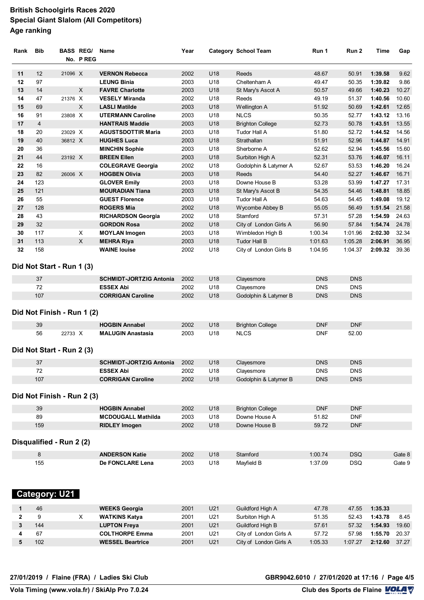| Rank         | <b>Bib</b>           |                            | <b>BASS REG/</b><br>No. PREG | Name                                               | Year         |            | <b>Category School Team</b> | Run 1          | Run 2          | Time               | Gap            |
|--------------|----------------------|----------------------------|------------------------------|----------------------------------------------------|--------------|------------|-----------------------------|----------------|----------------|--------------------|----------------|
| 11           | 12                   | 21096 X                    |                              | <b>VERNON Rebecca</b>                              | 2002         | U18        | Reeds                       | 48.67          | 50.91          | 1:39.58            | 9.62           |
| 12           | 97                   |                            |                              | <b>LEUNG Binia</b>                                 | 2003         | U18        | Cheltenham A                | 49.47          | 50.35          | 1:39.82            | 9.86           |
| 13           | 14                   |                            | X                            | <b>FAVRE Charlotte</b>                             | 2003         | U18        | St Mary's Ascot A           | 50.57          | 49.66          | 1:40.23            | 10.27          |
| 14           | 47                   | 21376 X                    |                              | <b>VESELY Miranda</b>                              | 2002         | U18        | Reeds                       | 49.19          | 51.37          | 1:40.56            | 10.60          |
|              |                      |                            | X                            |                                                    |              |            |                             |                |                |                    |                |
| 15<br>16     | 69                   | 23808 X                    |                              | <b>LASLI Matilde</b>                               | 2003         | U18<br>U18 | Wellington A                | 51.92          | 50.69          | 1:42.61<br>1:43.12 | 12.65<br>13.16 |
| 17           | 91<br>$\overline{4}$ |                            |                              | <b>UTERMANN Caroline</b><br><b>HANTRAIS Maddie</b> | 2003<br>2003 | U18        | <b>NLCS</b>                 | 50.35<br>52.73 | 52.77<br>50.78 | 1:43.51            | 13.55          |
|              | 20                   | 23029 X                    |                              | <b>AGUSTSDOTTIR Maria</b>                          |              | U18        | <b>Brighton College</b>     |                |                | 1:44.52            |                |
| 18<br>19     | 40                   | 36812 X                    |                              | <b>HUGHES Luca</b>                                 | 2003<br>2003 | U18        | Tudor Hall A<br>Strathallan | 51.80<br>51.91 | 52.72<br>52.96 | 1:44.87            | 14.56<br>14.91 |
|              |                      |                            |                              |                                                    |              |            |                             |                |                |                    |                |
| 20           | 36                   |                            |                              | <b>MINCHIN Sophie</b>                              | 2003         | U18        | Sherborne A                 | 52.62          | 52.94          | 1:45.56            | 15.60          |
| 21           | 44                   | 23192 X                    |                              | <b>BREEN Ellen</b>                                 | 2003         | U18        | Surbiton High A             | 52.31          | 53.76          | 1:46.07            | 16.11          |
| 22           | 16                   |                            |                              | <b>COLEGRAVE Georgia</b>                           | 2002         | U18        | Godolphin & Latymer A       | 52.67          | 53.53          | 1:46.20            | 16.24          |
| 23           | 82                   | 26006 X                    |                              | <b>HOGBEN Olivia</b>                               | 2003         | U18        | Reeds                       | 54.40          | 52.27          | 1:46.67            | 16.71          |
| 24           | 123                  |                            |                              | <b>GLOVER Emily</b>                                | 2003         | U18        | Downe House B               | 53.28          | 53.99          | 1:47.27            | 17.31          |
| 25           | 121                  |                            |                              | <b>MOURADIAN Tiana</b>                             | 2003         | U18        | St Mary's Ascot B           | 54.35          | 54.46          | 1:48.81            | 18.85          |
| 26           | 55                   |                            |                              | <b>GUEST Florence</b>                              | 2003         | U18        | Tudor Hall A                | 54.63          | 54.45          | 1:49.08            | 19.12          |
| 27           | 128                  |                            |                              | <b>ROGERS Mia</b>                                  | 2002         | U18        | Wycombe Abbey B             | 55.05          | 56.49          | 1:51.54            | 21.58          |
| 28           | 43                   |                            |                              | <b>RICHARDSON Georgia</b>                          | 2002         | U18        | Stamford                    | 57.31          | 57.28          | 1:54.59            | 24.63          |
| 29           | 32                   |                            |                              | <b>GORDON Rosa</b>                                 | 2002         | U18        | City of London Girls A      | 56.90          | 57.84          | 1:54.74            | 24.78          |
| 30           | 117                  |                            | X                            | <b>MOYLAN Imogen</b>                               | 2003         | U18        | Wimbledon High B            | 1:00.34        | 1:01.96        | 2:02.30            | 32.34          |
| 31           | 113                  |                            | X                            | <b>MEHRA Riya</b>                                  | 2003         | U18        | <b>Tudor Hall B</b>         | 1:01.63        | 1:05.28        | 2:06.91            | 36.95          |
| 32           | 158                  |                            |                              | <b>WAINE louise</b>                                | 2002         | U18        | City of London Girls B      | 1:04.95        | 1:04.37        | 2:09.32            | 39.36          |
|              |                      | Did Not Start - Run 1 (3)  |                              |                                                    |              |            |                             |                |                |                    |                |
|              | 37                   |                            |                              | <b>SCHMIDT-JORTZIG Antonia</b>                     | 2002         | U18        | Clayesmore                  | <b>DNS</b>     | <b>DNS</b>     |                    |                |
|              | 72                   |                            |                              | <b>ESSEX Abi</b>                                   | 2002         | U18        | Clayesmore                  | <b>DNS</b>     | <b>DNS</b>     |                    |                |
|              | 107                  |                            |                              | <b>CORRIGAN Caroline</b>                           | 2002         | U18        | Godolphin & Latymer B       | <b>DNS</b>     | <b>DNS</b>     |                    |                |
|              |                      | Did Not Finish - Run 1 (2) |                              |                                                    |              |            |                             |                |                |                    |                |
|              | 39                   |                            |                              | <b>HOGBIN Annabel</b>                              | 2002         | U18        | <b>Brighton College</b>     | <b>DNF</b>     | <b>DNF</b>     |                    |                |
|              | 56                   | 22733 X                    |                              | <b>MALUGIN Anastasia</b>                           | 2003         | U18        | <b>NLCS</b>                 | <b>DNF</b>     | 52.00          |                    |                |
|              |                      | Did Not Start - Run 2 (3)  |                              |                                                    |              |            |                             |                |                |                    |                |
|              | 37                   |                            |                              | <b>SCHMIDT-JORTZIG Antonia</b>                     | 2002         | U18        | Clayesmore                  | <b>DNS</b>     | <b>DNS</b>     |                    |                |
|              | 72                   |                            |                              | <b>ESSEX Abi</b>                                   | 2002         | U18        | Clayesmore                  | <b>DNS</b>     | <b>DNS</b>     |                    |                |
|              | 107                  |                            |                              | <b>CORRIGAN Caroline</b>                           | 2002         | U18        | Godolphin & Latymer B       | <b>DNS</b>     | <b>DNS</b>     |                    |                |
|              |                      | Did Not Finish - Run 2 (3) |                              |                                                    |              |            |                             |                |                |                    |                |
|              | 39                   |                            |                              | <b>HOGBIN Annabel</b>                              | 2002         | U18        | <b>Brighton College</b>     | <b>DNF</b>     | <b>DNF</b>     |                    |                |
|              | 89                   |                            |                              | <b>MCDOUGALL Mathilda</b>                          | 2003         | U18        | Downe House A               | 51.82          | <b>DNF</b>     |                    |                |
|              | 159                  |                            |                              | <b>RIDLEY Imogen</b>                               | 2002         | U18        | Downe House B               | 59.72          | <b>DNF</b>     |                    |                |
|              |                      | Disqualified - Run 2 (2)   |                              |                                                    |              |            |                             |                |                |                    |                |
|              | $\bf 8$              |                            |                              | <b>ANDERSON Katie</b>                              | 2002         | U18        | Stamford                    | 1:00.74        | <b>DSQ</b>     |                    | Gate 8         |
|              | 155                  |                            |                              | De FONCLARE Lena                                   | 2003         | U18        | Mayfield B                  | 1:37.09        | <b>DSQ</b>     |                    | Gate 9         |
|              |                      | <b>Category: U21</b>       |                              |                                                    |              |            |                             |                |                |                    |                |
| 1            | 46                   |                            |                              | <b>WEEKS Georgia</b>                               | 2001         | U21        | Guildford High A            | 47.78          | 47.55          | 1:35.33            |                |
| $\mathbf{2}$ | 9                    |                            | $\mathsf X$                  | <b>WATKINS Katya</b>                               | 2001         | U21        | Surbiton High A             | 51.35          | 52.43          | 1:43.78            | 8.45           |
|              | 144                  |                            |                              |                                                    |              |            |                             |                |                |                    |                |
| 3            |                      |                            |                              | <b>LUPTON Freya</b>                                | 2001         | U21        | Guildford High B            | 57.61          | 57.32          | 1:54.93            | 19.60          |
| 4            | 67                   |                            |                              | <b>COLTHORPE Emma</b>                              | 2001         | U21        | City of London Girls A      | 57.72          | 57.98          | 1:55.70            | 20.37          |
| 5            | 102                  |                            |                              | <b>WESSEL Beartrice</b>                            | 2001         | U21        | City of London Girls A      | 1:05.33        | 1:07.27        | 2:12.60            | 37.27          |